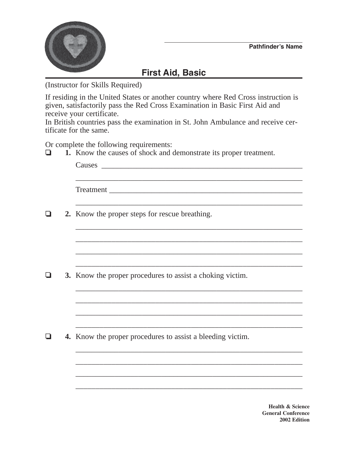

## **First Aid, Basic**

(Instructor for Skills Required)

If residing in the United States or another country where Red Cross instruction is given, satisfactorily pass the Red Cross Examination in Basic First Aid and receive your certificate.

In British countries pass the examination in St. John Ambulance and receive certificate for the same.

Or complete the following requirements:

❏ **1.** Know the causes of shock and demonstrate its proper treatment.

|  | 2. Know the proper steps for rescue breathing.             |
|--|------------------------------------------------------------|
|  |                                                            |
|  |                                                            |
|  | 3. Know the proper procedures to assist a choking victim.  |
|  |                                                            |
|  |                                                            |
|  | 4. Know the proper procedures to assist a bleeding victim. |
|  |                                                            |
|  |                                                            |
|  |                                                            |

**Health & Science General Conference 2002 Edition**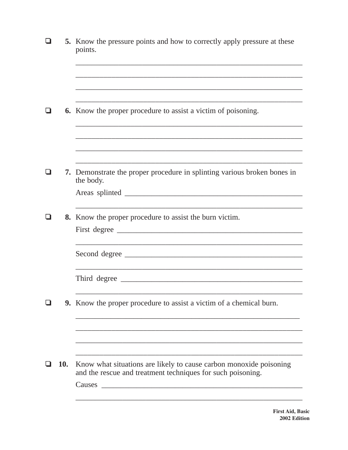|     |            | 5. Know the pressure points and how to correctly apply pressure at these<br>points.                                                                       |
|-----|------------|-----------------------------------------------------------------------------------------------------------------------------------------------------------|
| l 1 |            | <b>6.</b> Know the proper procedure to assist a victim of poisoning.                                                                                      |
|     |            |                                                                                                                                                           |
| H   |            | 7. Demonstrate the proper procedure in splinting various broken bones in<br>the body.                                                                     |
|     |            | 8. Know the proper procedure to assist the burn victim.                                                                                                   |
|     |            | Second degree                                                                                                                                             |
|     |            |                                                                                                                                                           |
|     |            | 9. Know the proper procedure to assist a victim of a chemical burn.                                                                                       |
|     |            |                                                                                                                                                           |
|     | <b>10.</b> | Know what situations are likely to cause carbon monoxide poisoning<br>and the rescue and treatment techniques for such poisoning.<br>Causes <b>Causes</b> |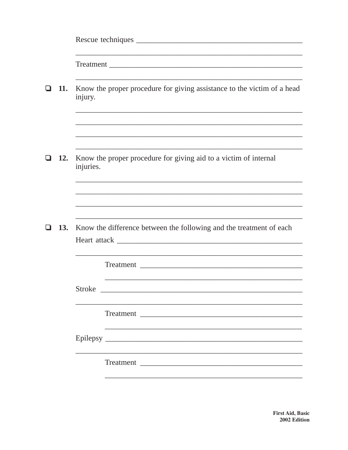|   | 11. | injury.       | Know the proper procedure for giving assistance to the victim of a head |
|---|-----|---------------|-------------------------------------------------------------------------|
|   |     |               |                                                                         |
|   | 12. | injuries.     | Know the proper procedure for giving aid to a victim of internal        |
|   |     |               |                                                                         |
|   |     |               |                                                                         |
| ❏ | 13. |               | Know the difference between the following and the treatment of each     |
|   |     |               |                                                                         |
|   |     |               |                                                                         |
|   |     | <b>Stroke</b> |                                                                         |
|   |     |               |                                                                         |
|   |     |               |                                                                         |
|   |     |               |                                                                         |
|   |     |               | Treatment                                                               |
|   |     |               |                                                                         |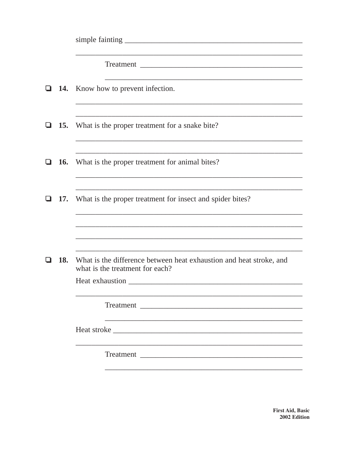|   |            | <b>14.</b> Know how to prevent infection.                                                              |
|---|------------|--------------------------------------------------------------------------------------------------------|
|   | <b>15.</b> | What is the proper treatment for a snake bite?                                                         |
|   | <b>16.</b> | What is the proper treatment for animal bites?                                                         |
| ப | <b>17.</b> | What is the proper treatment for insect and spider bites?                                              |
|   |            |                                                                                                        |
|   | 18.        | What is the difference between heat exhaustion and heat stroke, and<br>what is the treatment for each? |
|   |            | Heat exhaustion<br><u> 1980 - Jan Barbara Barbara, maska kardinal (</u>                                |
|   |            |                                                                                                        |
|   |            |                                                                                                        |
|   |            |                                                                                                        |